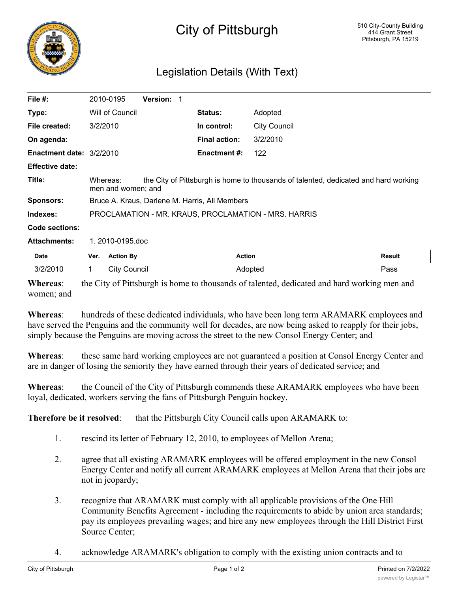

## City of Pittsburgh

## Legislation Details (With Text)

| <b>Action By</b>                                                                                                      | <b>Action</b>        | <b>Result</b>       |  |  |
|-----------------------------------------------------------------------------------------------------------------------|----------------------|---------------------|--|--|
| 1.2010-0195.doc                                                                                                       |                      |                     |  |  |
|                                                                                                                       |                      |                     |  |  |
| PROCLAMATION - MR. KRAUS, PROCLAMATION - MRS. HARRIS                                                                  |                      |                     |  |  |
| Bruce A. Kraus, Darlene M. Harris, All Members                                                                        |                      |                     |  |  |
| the City of Pittsburgh is home to thousands of talented, dedicated and hard working<br>Whereas:<br>men and women; and |                      |                     |  |  |
|                                                                                                                       |                      |                     |  |  |
| <b>Enactment date: 3/2/2010</b>                                                                                       | <b>Enactment #:</b>  | 122                 |  |  |
|                                                                                                                       | <b>Final action:</b> | 3/2/2010            |  |  |
| 3/2/2010                                                                                                              | In control:          | <b>City Council</b> |  |  |
| Will of Council                                                                                                       | <b>Status:</b>       | Adopted             |  |  |
| <b>Version: 1</b><br>2010-0195                                                                                        |                      |                     |  |  |
|                                                                                                                       |                      |                     |  |  |

| 3/2/2010       | City Council | Adopted                                                                                     | Pass |
|----------------|--------------|---------------------------------------------------------------------------------------------|------|
| W <sub>h</sub> |              | the City of Dittohyrch is home to thousands of telepted, dedicated and herd working man and |      |

**Whereas**: the City of Pittsburgh is home to thousands of talented, dedicated and hard working men and women; and

**Whereas**: hundreds of these dedicated individuals, who have been long term ARAMARK employees and have served the Penguins and the community well for decades, are now being asked to reapply for their jobs, simply because the Penguins are moving across the street to the new Consol Energy Center; and

**Whereas**: these same hard working employees are not guaranteed a position at Consol Energy Center and are in danger of losing the seniority they have earned through their years of dedicated service; and

**Whereas**: the Council of the City of Pittsburgh commends these ARAMARK employees who have been loyal, dedicated, workers serving the fans of Pittsburgh Penguin hockey.

**Therefore be it resolved:** that the Pittsburgh City Council calls upon ARAMARK to:

- 1. rescind its letter of February 12, 2010, to employees of Mellon Arena;
- 2. agree that all existing ARAMARK employees will be offered employment in the new Consol Energy Center and notify all current ARAMARK employees at Mellon Arena that their jobs are not in jeopardy;
- 3. recognize that ARAMARK must comply with all applicable provisions of the One Hill Community Benefits Agreement - including the requirements to abide by union area standards; pay its employees prevailing wages; and hire any new employees through the Hill District First Source Center;
- 4. acknowledge ARAMARK's obligation to comply with the existing union contracts and to